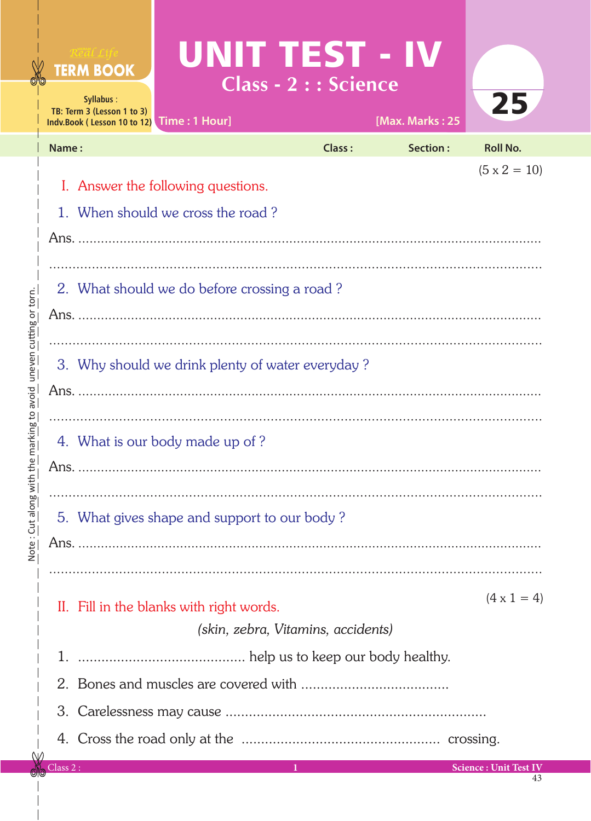|                              |                                                                         | Real Life<br><b>TERM BOOK</b><br>Syllabus:<br>TB: Term 3 (Lesson 1 to 3) | UNIT TEST - IV<br>Indv.Book (Lesson 10 to 12) Time: 1 Hour]                    | Class - 2 : : Science | [Max. Marks: 25 | 25                           |  |  |  |
|------------------------------|-------------------------------------------------------------------------|--------------------------------------------------------------------------|--------------------------------------------------------------------------------|-----------------------|-----------------|------------------------------|--|--|--|
|                              | Name:                                                                   |                                                                          |                                                                                | <b>Class:</b>         | <b>Section:</b> | <b>Roll No.</b>              |  |  |  |
|                              |                                                                         |                                                                          |                                                                                |                       |                 | $(5 \times 2 = 10)$          |  |  |  |
|                              | I. Answer the following questions.<br>1. When should we cross the road? |                                                                          |                                                                                |                       |                 |                              |  |  |  |
|                              |                                                                         |                                                                          |                                                                                |                       |                 |                              |  |  |  |
|                              |                                                                         |                                                                          |                                                                                |                       |                 |                              |  |  |  |
|                              |                                                                         | 2. What should we do before crossing a road?                             |                                                                                |                       |                 |                              |  |  |  |
|                              |                                                                         |                                                                          |                                                                                |                       |                 |                              |  |  |  |
|                              |                                                                         |                                                                          |                                                                                |                       |                 |                              |  |  |  |
|                              | 3. Why should we drink plenty of water everyday?                        |                                                                          |                                                                                |                       |                 |                              |  |  |  |
| avoid uneven cutting or torn |                                                                         |                                                                          |                                                                                |                       |                 |                              |  |  |  |
|                              |                                                                         |                                                                          |                                                                                |                       |                 |                              |  |  |  |
| the marking to               | 4. What is our body made up of ?                                        |                                                                          |                                                                                |                       |                 |                              |  |  |  |
|                              |                                                                         |                                                                          |                                                                                |                       |                 |                              |  |  |  |
| Note: Cut along with         |                                                                         |                                                                          | 5. What gives shape and support to our body?                                   | .                     |                 |                              |  |  |  |
|                              |                                                                         |                                                                          |                                                                                |                       |                 |                              |  |  |  |
|                              |                                                                         |                                                                          |                                                                                |                       |                 |                              |  |  |  |
|                              |                                                                         |                                                                          |                                                                                |                       |                 | $(4 \times 1 = 4)$           |  |  |  |
|                              |                                                                         |                                                                          | II. Fill in the blanks with right words.<br>(skin, zebra, Vitamins, accidents) |                       |                 |                              |  |  |  |
|                              |                                                                         |                                                                          |                                                                                |                       |                 |                              |  |  |  |
|                              |                                                                         |                                                                          |                                                                                |                       |                 |                              |  |  |  |
|                              |                                                                         |                                                                          |                                                                                |                       |                 |                              |  |  |  |
|                              |                                                                         |                                                                          |                                                                                |                       |                 |                              |  |  |  |
|                              | Class 2:                                                                |                                                                          |                                                                                | $\bf{1}$              |                 | <b>Science: Unit Test IV</b> |  |  |  |